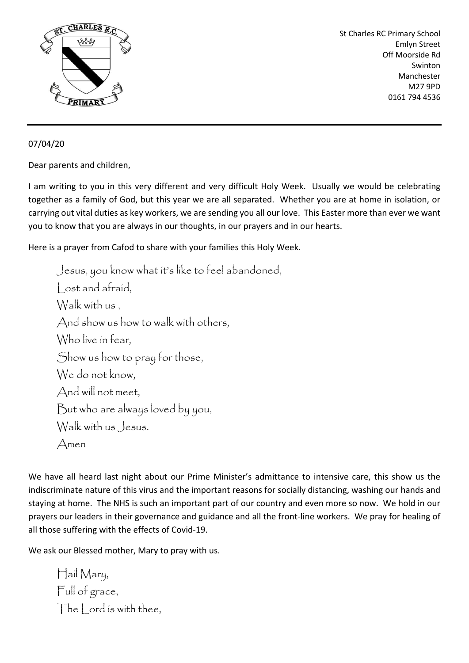

St Charles RC Primary School Emlyn Street Off Moorside Rd Swinton Manchester M27 9PD 0161 794 4536

07/04/20

Dear parents and children,

I am writing to you in this very different and very difficult Holy Week. Usually we would be celebrating together as a family of God, but this year we are all separated. Whether you are at home in isolation, or carrying out vital duties as key workers, we are sending you all our love. This Easter more than ever we want you to know that you are always in our thoughts, in our prayers and in our hearts.

Here is a prayer from Cafod to share with your families this Holy Week.

Jesus, you know what it's like to feel abandoned, Lost and afraid, Walk with us , And show us how to walk with others, Who live in fear, Show us how to pray for those, We do not know. And will not meet, But who are always loved by you, Walk with us Jesus. Amen

We have all heard last night about our Prime Minister's admittance to intensive care, this show us the indiscriminate nature of this virus and the important reasons for socially distancing, washing our hands and staying at home. The NHS is such an important part of our country and even more so now. We hold in our prayers our leaders in their governance and guidance and all the front-line workers. We pray for healing of all those suffering with the effects of Covid-19.

We ask our Blessed mother, Mary to pray with us.

Hail Mary, Full of grace, The lord is with thee,